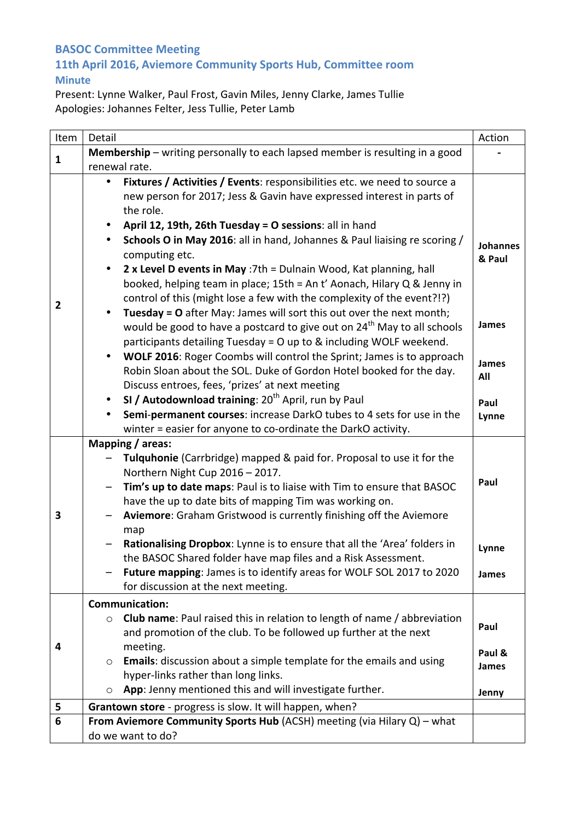## **BASOC Committee Meeting 11th April 2016, Aviemore Community Sports Hub, Committee room Minute**

Present: Lynne Walker, Paul Frost, Gavin Miles, Jenny Clarke, James Tullie Apologies: Johannes Felter, Jess Tullie, Peter Lamb

| Item           | Detail                                                                                                                                                                                                                                                                                                                                                                                                                                                                                                                                                                                                                                                                                                                                                                                                                                                                                                                                                                                                                                                                                                                                                                                                   | Action                                                              |
|----------------|----------------------------------------------------------------------------------------------------------------------------------------------------------------------------------------------------------------------------------------------------------------------------------------------------------------------------------------------------------------------------------------------------------------------------------------------------------------------------------------------------------------------------------------------------------------------------------------------------------------------------------------------------------------------------------------------------------------------------------------------------------------------------------------------------------------------------------------------------------------------------------------------------------------------------------------------------------------------------------------------------------------------------------------------------------------------------------------------------------------------------------------------------------------------------------------------------------|---------------------------------------------------------------------|
|                | Membership - writing personally to each lapsed member is resulting in a good                                                                                                                                                                                                                                                                                                                                                                                                                                                                                                                                                                                                                                                                                                                                                                                                                                                                                                                                                                                                                                                                                                                             |                                                                     |
| $\mathbf{1}$   | renewal rate.                                                                                                                                                                                                                                                                                                                                                                                                                                                                                                                                                                                                                                                                                                                                                                                                                                                                                                                                                                                                                                                                                                                                                                                            |                                                                     |
| $\overline{2}$ | Fixtures / Activities / Events: responsibilities etc. we need to source a<br>new person for 2017; Jess & Gavin have expressed interest in parts of<br>the role.<br>April 12, 19th, 26th Tuesday = O sessions: all in hand<br>$\bullet$<br>Schools O in May 2016: all in hand, Johannes & Paul liaising re scoring /<br>computing etc.<br>2 x Level D events in May : 7th = Dulnain Wood, Kat planning, hall<br>$\bullet$<br>booked, helping team in place; 15th = An t' Aonach, Hilary Q & Jenny in<br>control of this (might lose a few with the complexity of the event?!?)<br>Tuesday = O after May: James will sort this out over the next month;<br>$\bullet$<br>would be good to have a postcard to give out on 24 <sup>th</sup> May to all schools<br>participants detailing Tuesday = 0 up to & including WOLF weekend.<br>WOLF 2016: Roger Coombs will control the Sprint; James is to approach<br>$\bullet$<br>Robin Sloan about the SOL. Duke of Gordon Hotel booked for the day.<br>Discuss entroes, fees, 'prizes' at next meeting<br>SI / Autodownload training: 20 <sup>th</sup> April, run by Paul<br>$\bullet$<br>Semi-permanent courses: increase DarkO tubes to 4 sets for use in the | <b>Johannes</b><br>& Paul<br>James<br>James<br>All<br>Paul<br>Lynne |
| 3              | winter = easier for anyone to co-ordinate the DarkO activity.<br>Mapping / areas:<br>Tulquhonie (Carrbridge) mapped & paid for. Proposal to use it for the<br>Northern Night Cup 2016 - 2017.<br>Tim's up to date maps: Paul is to liaise with Tim to ensure that BASOC<br>$\overline{\phantom{0}}$<br>have the up to date bits of mapping Tim was working on.<br>Aviemore: Graham Gristwood is currently finishing off the Aviemore<br>map<br>Rationalising Dropbox: Lynne is to ensure that all the 'Area' folders in<br>the BASOC Shared folder have map files and a Risk Assessment.<br>Future mapping: James is to identify areas for WOLF SOL 2017 to 2020<br>for discussion at the next meeting.                                                                                                                                                                                                                                                                                                                                                                                                                                                                                                  | Paul<br>Lynne<br>James                                              |
| 4              | <b>Communication:</b>                                                                                                                                                                                                                                                                                                                                                                                                                                                                                                                                                                                                                                                                                                                                                                                                                                                                                                                                                                                                                                                                                                                                                                                    |                                                                     |
|                | <b>Club name:</b> Paul raised this in relation to length of name / abbreviation<br>$\circ$<br>and promotion of the club. To be followed up further at the next<br>meeting.<br><b>Emails:</b> discussion about a simple template for the emails and using<br>$\circ$<br>hyper-links rather than long links.                                                                                                                                                                                                                                                                                                                                                                                                                                                                                                                                                                                                                                                                                                                                                                                                                                                                                               | Paul<br>Paul &<br>James                                             |
|                | App: Jenny mentioned this and will investigate further.                                                                                                                                                                                                                                                                                                                                                                                                                                                                                                                                                                                                                                                                                                                                                                                                                                                                                                                                                                                                                                                                                                                                                  | Jenny                                                               |
| 5              | Grantown store - progress is slow. It will happen, when?                                                                                                                                                                                                                                                                                                                                                                                                                                                                                                                                                                                                                                                                                                                                                                                                                                                                                                                                                                                                                                                                                                                                                 |                                                                     |
| 6              | From Aviemore Community Sports Hub (ACSH) meeting (via Hilary Q) - what                                                                                                                                                                                                                                                                                                                                                                                                                                                                                                                                                                                                                                                                                                                                                                                                                                                                                                                                                                                                                                                                                                                                  |                                                                     |
|                | do we want to do?                                                                                                                                                                                                                                                                                                                                                                                                                                                                                                                                                                                                                                                                                                                                                                                                                                                                                                                                                                                                                                                                                                                                                                                        |                                                                     |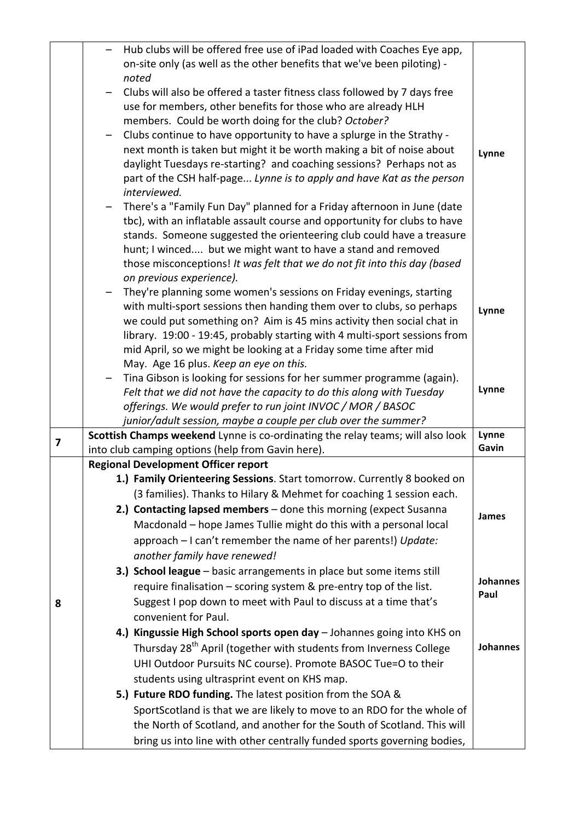|                         | Hub clubs will be offered free use of iPad loaded with Coaches Eye app,                                                                            |                 |
|-------------------------|----------------------------------------------------------------------------------------------------------------------------------------------------|-----------------|
|                         | on-site only (as well as the other benefits that we've been piloting) -                                                                            |                 |
|                         | noted                                                                                                                                              |                 |
|                         | Clubs will also be offered a taster fitness class followed by 7 days free                                                                          |                 |
|                         | use for members, other benefits for those who are already HLH                                                                                      |                 |
|                         | members. Could be worth doing for the club? October?                                                                                               |                 |
|                         | Clubs continue to have opportunity to have a splurge in the Strathy -                                                                              |                 |
|                         | next month is taken but might it be worth making a bit of noise about                                                                              | Lynne           |
|                         | daylight Tuesdays re-starting? and coaching sessions? Perhaps not as                                                                               |                 |
|                         | part of the CSH half-page Lynne is to apply and have Kat as the person                                                                             |                 |
|                         | interviewed.                                                                                                                                       |                 |
|                         | There's a "Family Fun Day" planned for a Friday afternoon in June (date                                                                            |                 |
|                         | tbc), with an inflatable assault course and opportunity for clubs to have                                                                          |                 |
|                         | stands. Someone suggested the orienteering club could have a treasure                                                                              |                 |
|                         | hunt; I winced but we might want to have a stand and removed                                                                                       |                 |
|                         | those misconceptions! It was felt that we do not fit into this day (based                                                                          |                 |
|                         | on previous experience).                                                                                                                           |                 |
|                         | They're planning some women's sessions on Friday evenings, starting                                                                                |                 |
|                         | with multi-sport sessions then handing them over to clubs, so perhaps                                                                              | Lynne           |
|                         | we could put something on? Aim is 45 mins activity then social chat in                                                                             |                 |
|                         | library. 19:00 - 19:45, probably starting with 4 multi-sport sessions from                                                                         |                 |
|                         | mid April, so we might be looking at a Friday some time after mid                                                                                  |                 |
|                         | May. Age 16 plus. Keep an eye on this.                                                                                                             |                 |
|                         | Tina Gibson is looking for sessions for her summer programme (again).                                                                              | Lynne           |
|                         | Felt that we did not have the capacity to do this along with Tuesday                                                                               |                 |
|                         | offerings. We would prefer to run joint INVOC / MOR / BASOC                                                                                        |                 |
|                         | junior/adult session, maybe a couple per club over the summer?<br>Scottish Champs weekend Lynne is co-ordinating the relay teams; will also look   | Lynne           |
| $\overline{\mathbf{z}}$ | into club camping options (help from Gavin here).                                                                                                  | Gavin           |
|                         | <b>Regional Development Officer report</b>                                                                                                         |                 |
|                         | 1.) Family Orienteering Sessions. Start tomorrow. Currently 8 booked on                                                                            |                 |
|                         | (3 families). Thanks to Hilary & Mehmet for coaching 1 session each.                                                                               |                 |
|                         | 2.) Contacting lapsed members - done this morning (expect Susanna                                                                                  | <b>James</b>    |
|                         | Macdonald - hope James Tullie might do this with a personal local                                                                                  |                 |
|                         | approach - I can't remember the name of her parents!) Update:                                                                                      |                 |
|                         | another family have renewed!                                                                                                                       |                 |
|                         | 3.) School league - basic arrangements in place but some items still                                                                               |                 |
|                         | require finalisation – scoring system & pre-entry top of the list.                                                                                 | <b>Johannes</b> |
| 8                       | Suggest I pop down to meet with Paul to discuss at a time that's                                                                                   | Paul            |
|                         |                                                                                                                                                    |                 |
|                         |                                                                                                                                                    |                 |
|                         | convenient for Paul.                                                                                                                               |                 |
|                         | 4.) Kingussie High School sports open day - Johannes going into KHS on                                                                             |                 |
|                         | Thursday 28 <sup>th</sup> April (together with students from Inverness College                                                                     | Johannes        |
|                         | UHI Outdoor Pursuits NC course). Promote BASOC Tue=O to their                                                                                      |                 |
|                         | students using ultrasprint event on KHS map.                                                                                                       |                 |
|                         | 5.) Future RDO funding. The latest position from the SOA &                                                                                         |                 |
|                         | SportScotland is that we are likely to move to an RDO for the whole of                                                                             |                 |
|                         | the North of Scotland, and another for the South of Scotland. This will<br>bring us into line with other centrally funded sports governing bodies, |                 |